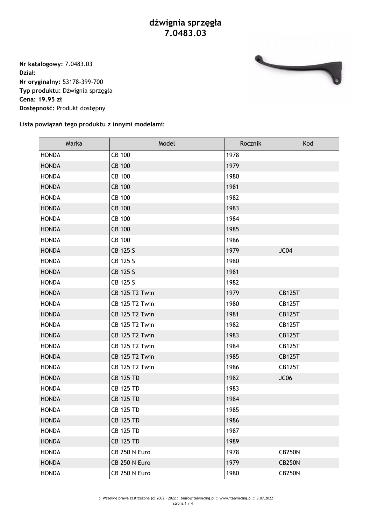**Nr katalogowy:** 7.0483.03 **Dział: Nr oryginalny:** 53178-399-700 **Typ produktu:** Dźwignia sprzęgła **Cena: 19.95 zł Dostępność:** Produkt dostępny



## **Lista powiązań tego produktu z innymi modelami:**

| Marka        | Model                 | Rocznik | Kod           |
|--------------|-----------------------|---------|---------------|
| <b>HONDA</b> | <b>CB 100</b>         | 1978    |               |
| <b>HONDA</b> | <b>CB 100</b>         | 1979    |               |
| <b>HONDA</b> | <b>CB 100</b>         | 1980    |               |
| <b>HONDA</b> | <b>CB 100</b>         | 1981    |               |
| <b>HONDA</b> | <b>CB 100</b>         | 1982    |               |
| <b>HONDA</b> | <b>CB 100</b>         | 1983    |               |
| <b>HONDA</b> | <b>CB 100</b>         | 1984    |               |
| <b>HONDA</b> | <b>CB 100</b>         | 1985    |               |
| <b>HONDA</b> | <b>CB 100</b>         | 1986    |               |
| <b>HONDA</b> | CB 125 S              | 1979    | JC04          |
| <b>HONDA</b> | CB 125 S              | 1980    |               |
| <b>HONDA</b> | CB 125 S              | 1981    |               |
| <b>HONDA</b> | CB 125 S              | 1982    |               |
| <b>HONDA</b> | <b>CB 125 T2 Twin</b> | 1979    | <b>CB125T</b> |
| <b>HONDA</b> | <b>CB 125 T2 Twin</b> | 1980    | <b>CB125T</b> |
| <b>HONDA</b> | <b>CB 125 T2 Twin</b> | 1981    | <b>CB125T</b> |
| <b>HONDA</b> | <b>CB 125 T2 Twin</b> | 1982    | <b>CB125T</b> |
| <b>HONDA</b> | <b>CB 125 T2 Twin</b> | 1983    | <b>CB125T</b> |
| <b>HONDA</b> | <b>CB 125 T2 Twin</b> | 1984    | <b>CB125T</b> |
| <b>HONDA</b> | <b>CB 125 T2 Twin</b> | 1985    | <b>CB125T</b> |
| <b>HONDA</b> | <b>CB 125 T2 Twin</b> | 1986    | <b>CB125T</b> |
| <b>HONDA</b> | <b>CB 125 TD</b>      | 1982    | JC06          |
| <b>HONDA</b> | <b>CB 125 TD</b>      | 1983    |               |
| <b>HONDA</b> | <b>CB 125 TD</b>      | 1984    |               |
| <b>HONDA</b> | <b>CB 125 TD</b>      | 1985    |               |
| <b>HONDA</b> | <b>CB 125 TD</b>      | 1986    |               |
| <b>HONDA</b> | <b>CB 125 TD</b>      | 1987    |               |
| <b>HONDA</b> | <b>CB 125 TD</b>      | 1989    |               |
| <b>HONDA</b> | CB 250 N Euro         | 1978    | <b>CB250N</b> |
| <b>HONDA</b> | CB 250 N Euro         | 1979    | <b>CB250N</b> |
| <b>HONDA</b> | CB 250 N Euro         | 1980    | <b>CB250N</b> |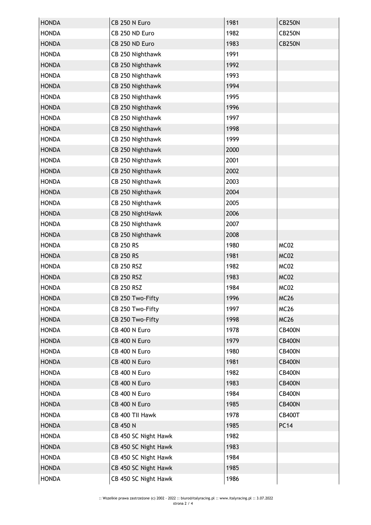| <b>HONDA</b> | CB 250 N Euro        | 1981 | <b>CB250N</b> |
|--------------|----------------------|------|---------------|
| <b>HONDA</b> | CB 250 ND Euro       | 1982 | <b>CB250N</b> |
| <b>HONDA</b> | CB 250 ND Euro       | 1983 | <b>CB250N</b> |
| <b>HONDA</b> | CB 250 Nighthawk     | 1991 |               |
| <b>HONDA</b> | CB 250 Nighthawk     | 1992 |               |
| <b>HONDA</b> | CB 250 Nighthawk     | 1993 |               |
| <b>HONDA</b> | CB 250 Nighthawk     | 1994 |               |
| <b>HONDA</b> | CB 250 Nighthawk     | 1995 |               |
| <b>HONDA</b> | CB 250 Nighthawk     | 1996 |               |
| <b>HONDA</b> | CB 250 Nighthawk     | 1997 |               |
| <b>HONDA</b> | CB 250 Nighthawk     | 1998 |               |
| <b>HONDA</b> | CB 250 Nighthawk     | 1999 |               |
| <b>HONDA</b> | CB 250 Nighthawk     | 2000 |               |
| <b>HONDA</b> | CB 250 Nighthawk     | 2001 |               |
| <b>HONDA</b> | CB 250 Nighthawk     | 2002 |               |
| <b>HONDA</b> | CB 250 Nighthawk     | 2003 |               |
| <b>HONDA</b> | CB 250 Nighthawk     | 2004 |               |
| <b>HONDA</b> | CB 250 Nighthawk     | 2005 |               |
| <b>HONDA</b> | CB 250 NightHawk     | 2006 |               |
| <b>HONDA</b> | CB 250 Nighthawk     | 2007 |               |
| <b>HONDA</b> | CB 250 Nighthawk     | 2008 |               |
| <b>HONDA</b> | <b>CB 250 RS</b>     | 1980 | MC02          |
| <b>HONDA</b> | <b>CB 250 RS</b>     | 1981 | MC02          |
| <b>HONDA</b> | <b>CB 250 RSZ</b>    | 1982 | MC02          |
| <b>HONDA</b> | <b>CB 250 RSZ</b>    | 1983 | MC02          |
| <b>HONDA</b> | <b>CB 250 RSZ</b>    | 1984 | MC02          |
| <b>HONDA</b> | CB 250 Two-Fifty     | 1996 | <b>MC26</b>   |
| <b>HONDA</b> | CB 250 Two-Fifty     | 1997 | <b>MC26</b>   |
| <b>HONDA</b> | CB 250 Two-Fifty     | 1998 | <b>MC26</b>   |
| <b>HONDA</b> | CB 400 N Euro        | 1978 | <b>CB400N</b> |
| <b>HONDA</b> | CB 400 N Euro        | 1979 | <b>CB400N</b> |
| <b>HONDA</b> | CB 400 N Euro        | 1980 | <b>CB400N</b> |
| <b>HONDA</b> | CB 400 N Euro        | 1981 | <b>CB400N</b> |
| <b>HONDA</b> | CB 400 N Euro        | 1982 | <b>CB400N</b> |
| <b>HONDA</b> | CB 400 N Euro        | 1983 | <b>CB400N</b> |
| <b>HONDA</b> | CB 400 N Euro        | 1984 | <b>CB400N</b> |
| <b>HONDA</b> | CB 400 N Euro        | 1985 | <b>CB400N</b> |
| <b>HONDA</b> | CB 400 TII Hawk      | 1978 | <b>CB400T</b> |
| <b>HONDA</b> | <b>CB 450 N</b>      | 1985 | <b>PC14</b>   |
| <b>HONDA</b> | CB 450 SC Night Hawk | 1982 |               |
| <b>HONDA</b> | CB 450 SC Night Hawk | 1983 |               |
| <b>HONDA</b> | CB 450 SC Night Hawk | 1984 |               |
| <b>HONDA</b> | CB 450 SC Night Hawk | 1985 |               |
| <b>HONDA</b> | CB 450 SC Night Hawk | 1986 |               |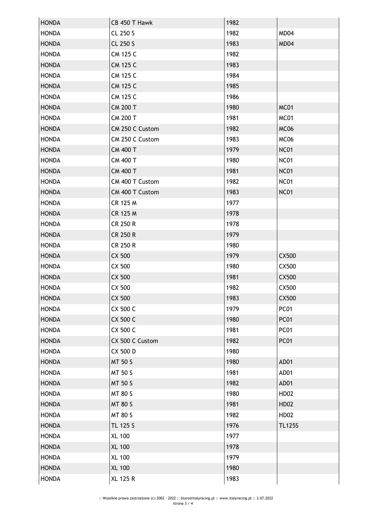| <b>HONDA</b> | CB 450 T Hawk   | 1982 |               |
|--------------|-----------------|------|---------------|
| <b>HONDA</b> | CL 250 S        | 1982 | MD04          |
| <b>HONDA</b> | CL 250 S        | 1983 | MD04          |
| <b>HONDA</b> | CM 125 C        | 1982 |               |
| <b>HONDA</b> | <b>CM 125 C</b> | 1983 |               |
| <b>HONDA</b> | CM 125 C        | 1984 |               |
| <b>HONDA</b> | <b>CM 125 C</b> | 1985 |               |
| <b>HONDA</b> | CM 125 C        | 1986 |               |
| <b>HONDA</b> | <b>CM 200 T</b> | 1980 | MC01          |
| <b>HONDA</b> | <b>CM 200 T</b> | 1981 | MC01          |
| <b>HONDA</b> | CM 250 C Custom | 1982 | MC06          |
| <b>HONDA</b> | CM 250 C Custom | 1983 | MC06          |
| <b>HONDA</b> | <b>CM 400 T</b> | 1979 | <b>NC01</b>   |
| <b>HONDA</b> | CM 400 T        | 1980 | <b>NC01</b>   |
| <b>HONDA</b> | <b>CM 400 T</b> | 1981 | <b>NC01</b>   |
| <b>HONDA</b> | CM 400 T Custom | 1982 | <b>NC01</b>   |
| <b>HONDA</b> | CM 400 T Custom | 1983 | <b>NC01</b>   |
| <b>HONDA</b> | CR 125 M        | 1977 |               |
| <b>HONDA</b> | CR 125 M        | 1978 |               |
| <b>HONDA</b> | CR 250 R        | 1978 |               |
| <b>HONDA</b> | <b>CR 250 R</b> | 1979 |               |
| <b>HONDA</b> | CR 250 R        | 1980 |               |
| <b>HONDA</b> | CX 500          | 1979 | CX500         |
| <b>HONDA</b> | CX 500          | 1980 | CX500         |
| <b>HONDA</b> | CX 500          | 1981 | CX500         |
| <b>HONDA</b> | CX 500          | 1982 | CX500         |
| <b>HONDA</b> | CX 500          | 1983 | CX500         |
| <b>HONDA</b> | CX 500 C        | 1979 | <b>PC01</b>   |
| <b>HONDA</b> | CX 500 C        | 1980 | <b>PC01</b>   |
| <b>HONDA</b> | CX 500 C        | 1981 | <b>PC01</b>   |
| <b>HONDA</b> | CX 500 C Custom | 1982 | <b>PC01</b>   |
| <b>HONDA</b> | CX 500 D        | 1980 |               |
| <b>HONDA</b> | <b>MT 50 S</b>  | 1980 | AD01          |
| <b>HONDA</b> | MT 50 S         | 1981 | AD01          |
| <b>HONDA</b> | MT 50 S         | 1982 | AD01          |
| <b>HONDA</b> | MT 80 S         | 1980 | <b>HD02</b>   |
| <b>HONDA</b> | <b>MT 80 S</b>  | 1981 | <b>HD02</b>   |
| <b>HONDA</b> | MT 80 S         | 1982 | HD02          |
| <b>HONDA</b> | TL 125 S        | 1976 | <b>TL125S</b> |
| <b>HONDA</b> | <b>XL 100</b>   | 1977 |               |
| <b>HONDA</b> | <b>XL 100</b>   | 1978 |               |
| <b>HONDA</b> | <b>XL 100</b>   | 1979 |               |
| <b>HONDA</b> | <b>XL 100</b>   | 1980 |               |
| <b>HONDA</b> | <b>XL 125 R</b> | 1983 |               |